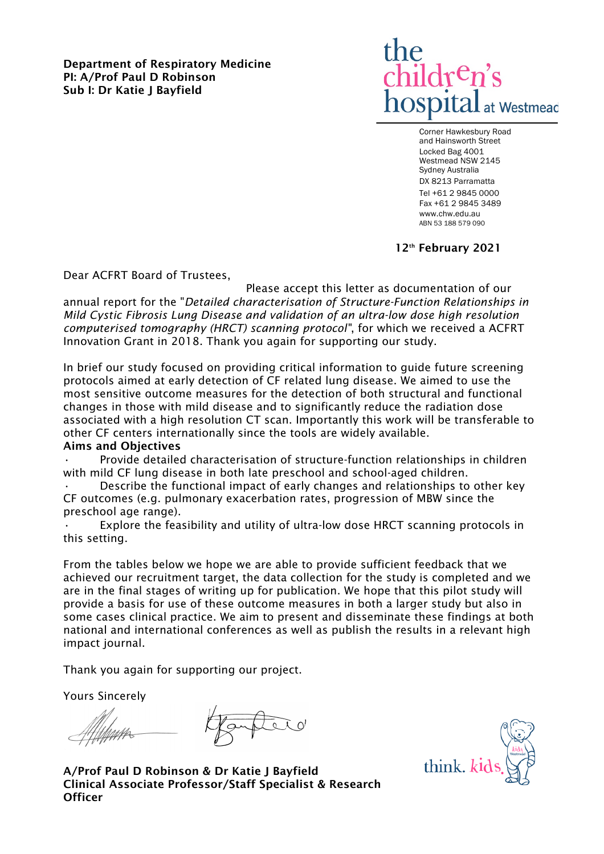Department of Respiratory Medicine PI: A/Prof Paul D Robinson Sub I: Dr Katie J Bayfield



Corner Hawkesbury Road and Hainsworth Street Locked Bag 4001 Westmead NSW 2145 Sydney Australia DX 8213 Parramatta Tel +61 2 9845 0000 Fax +61 2 9845 3489 www.chw.edu.au ABN 53 188 579 090

12<sup>th</sup> February 2021

Dear ACFRT Board of Trustees,

Please accept this letter as documentation of our annual report for the "*Detailed characterisation of Structure-Function Relationships in Mild Cystic Fibrosis Lung Disease and validation of an ultra-low dose high resolution computerised tomography (HRCT) scanning protocol"*, for which we received a ACFRT Innovation Grant in 2018. Thank you again for supporting our study.

In brief our study focused on providing critical information to guide future screening protocols aimed at early detection of CF related lung disease. We aimed to use the most sensitive outcome measures for the detection of both structural and functional changes in those with mild disease and to significantly reduce the radiation dose associated with a high resolution CT scan. Importantly this work will be transferable to other CF centers internationally since the tools are widely available.

### Aims and Objectives

• Provide detailed characterisation of structure-function relationships in children with mild CF lung disease in both late preschool and school-aged children.

• Describe the functional impact of early changes and relationships to other key CF outcomes (e.g. pulmonary exacerbation rates, progression of MBW since the preschool age range).

Explore the feasibility and utility of ultra-low dose HRCT scanning protocols in this setting.

From the tables below we hope we are able to provide sufficient feedback that we achieved our recruitment target, the data collection for the study is completed and we are in the final stages of writing up for publication. We hope that this pilot study will provide a basis for use of these outcome measures in both a larger study but also in some cases clinical practice. We aim to present and disseminate these findings at both national and international conferences as well as publish the results in a relevant high impact journal.

Thank you again for supporting our project.

Yours Sincerely

think. ki

A/Prof Paul D Robinson & Dr Katie J Bayfield Clinical Associate Professor/Staff Specialist & Research **Officer**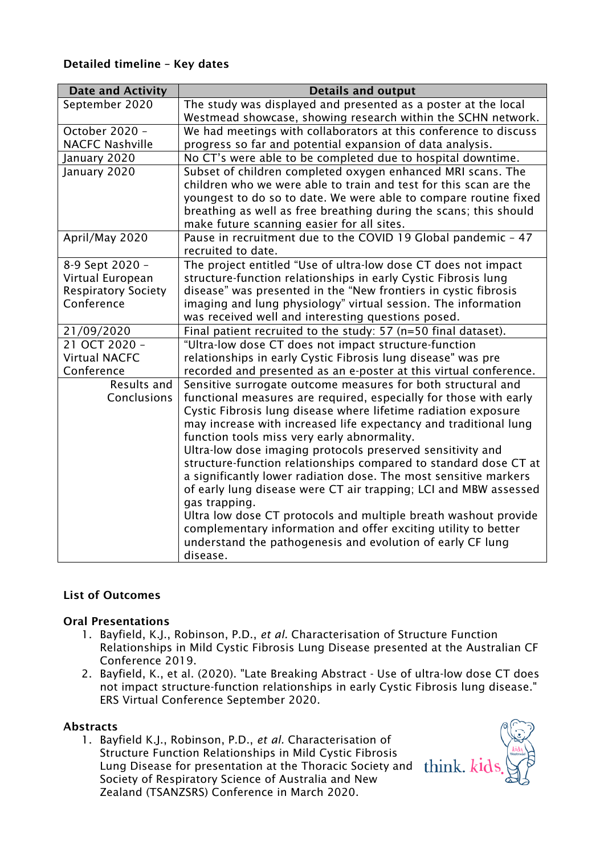## Detailed timeline – Key dates

| <b>Details and output</b>                                                                                                           |
|-------------------------------------------------------------------------------------------------------------------------------------|
| The study was displayed and presented as a poster at the local                                                                      |
| Westmead showcase, showing research within the SCHN network.                                                                        |
| We had meetings with collaborators at this conference to discuss                                                                    |
| progress so far and potential expansion of data analysis.                                                                           |
| No CT's were able to be completed due to hospital downtime.                                                                         |
| Subset of children completed oxygen enhanced MRI scans. The                                                                         |
| children who we were able to train and test for this scan are the                                                                   |
| youngest to do so to date. We were able to compare routine fixed                                                                    |
| breathing as well as free breathing during the scans; this should                                                                   |
| make future scanning easier for all sites.                                                                                          |
| Pause in recruitment due to the COVID 19 Global pandemic - 47                                                                       |
| recruited to date.                                                                                                                  |
| The project entitled "Use of ultra-low dose CT does not impact                                                                      |
| structure-function relationships in early Cystic Fibrosis lung                                                                      |
| disease" was presented in the "New frontiers in cystic fibrosis                                                                     |
| imaging and lung physiology" virtual session. The information                                                                       |
| was received well and interesting questions posed.                                                                                  |
| Final patient recruited to the study: 57 (n=50 final dataset).                                                                      |
| "Ultra-low dose CT does not impact structure-function                                                                               |
| relationships in early Cystic Fibrosis lung disease" was pre                                                                        |
| recorded and presented as an e-poster at this virtual conference.                                                                   |
| Sensitive surrogate outcome measures for both structural and                                                                        |
| functional measures are required, especially for those with early<br>Cystic Fibrosis lung disease where lifetime radiation exposure |
| may increase with increased life expectancy and traditional lung                                                                    |
| function tools miss very early abnormality.                                                                                         |
| Ultra-low dose imaging protocols preserved sensitivity and                                                                          |
| structure-function relationships compared to standard dose CT at                                                                    |
| a significantly lower radiation dose. The most sensitive markers                                                                    |
| of early lung disease were CT air trapping; LCI and MBW assessed                                                                    |
| gas trapping.                                                                                                                       |
| Ultra low dose CT protocols and multiple breath washout provide                                                                     |
| complementary information and offer exciting utility to better                                                                      |
| understand the pathogenesis and evolution of early CF lung                                                                          |
| disease.                                                                                                                            |
|                                                                                                                                     |

# List of Outcomes

### Oral Presentations

- 1. Bayfield, K.J., Robinson, P.D., *et al.* Characterisation of Structure Function Relationships in Mild Cystic Fibrosis Lung Disease presented at the Australian CF Conference 2019.
- 2. Bayfield, K., et al. (2020). "Late Breaking Abstract Use of ultra-low dose CT does not impact structure-function relationships in early Cystic Fibrosis lung disease." ERS Virtual Conference September 2020.

### Abstracts

1. Bayfield K.J., Robinson, P.D., *et al.* Characterisation of Structure Function Relationships in Mild Cystic Fibrosis Lung Disease for presentation at the Thoracic Society and Society of Respiratory Science of Australia and New Zealand (TSANZSRS) Conference in March 2020.